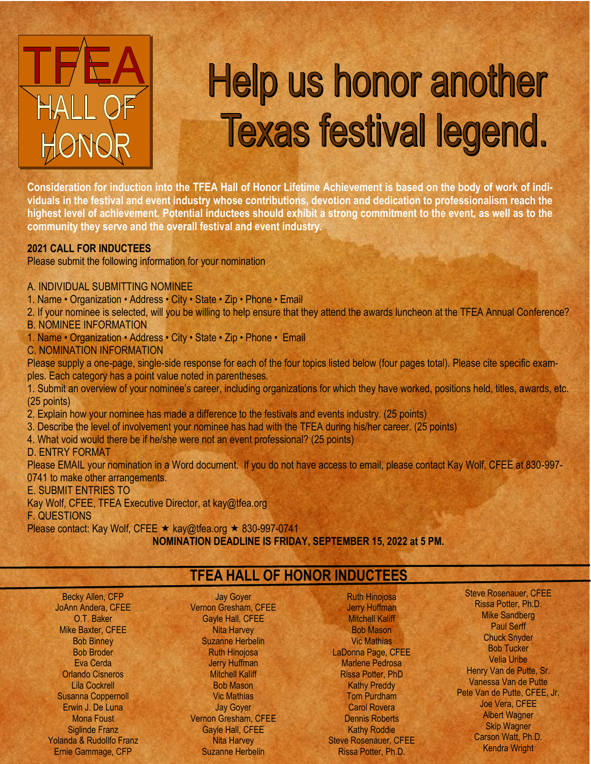

# **Help us honor another Texas festival legend.**

**Consideration for induction into the TFEA Hall of Honor Lifetime Achievement is based on the body of work of individuals in the festival and event industry whose contributions, devotion and dedication to professionalism reach the highest level of achievement. Potential inductees should exhibit a strong commitment to the event, as well as to the community they serve and the overall festival and event industry.**

#### **2021 CALL FOR INDUCTEES**

Please submit the following information for your nomination

A. INDIVIDUAL SUBMITTING NOMINEE

1. Name • Organization • Address • City • State • Zip • Phone • Email

2. If your nominee is selected, will you be willing to help ensure that they attend the awards luncheon at the TFEA Annual Conference? B. NOMINEE INFORMATION

- 1. Name Organization Address City State Zip Phone Email
- C. NOMINATION INFORMATION

Please supply a one-page, single-side response for each of the four topics listed below (four pages total). Please cite specific examples. Each category has a point value noted in parentheses.

1. Submit an overview of your nominee's career, including organizations for which they have worked, positions held, titles, awards, etc. (25 points)

- 2. Explain how your nominee has made a difference to the festivals and events industry. (25 points)
- 3. Describe the level of involvement your nominee has had with the TFEA during his/her career. (25 points)
- 4. What void would there be if he/she were not an event professional? (25 points)

#### D. ENTRY FORMAT

Please EMAIL your nomination in a Word document. If you do not have access to email, please contact Kay Wolf, CFEE at 830-997-0741 to make other arrangements.

#### E. SUBMIT ENTRIES TO

Kay Wolf, CFEE, TFEA Executive Director, at kay@tfea.org

#### F. QUESTIONS

Please contact: Kay Wolf, CFEE  $\star$  kay@tfea.org  $\star$  830-997-0741 **NOMINATION DEADLINE IS FRIDAY, SEPTEMBER 15, 2022 at 5 PM.**

## **TFEA HALL OF HONOR INDUCTEES**

Becky Allen, CFP JoAnn Andera, CFEE O.T. Baker Mike Baxter, CFEE Bob Binney Bob Broder Eva Cerda Orlando Cisneros Lila Cockrell Susanna Coppernoll Erwin J. De Luna Mona Foust Siglinde Franz Yolanda & Rudollfo Franz Ernie Gammage, CFP

Jay Goyer Vernon Gresham, CFEE Gayle Hall, CFEE Nita Harvey Suzanne Herbelin Ruth Hinojosa Jerry Huffman **Mitchell Kaliff** Bob Mason Vic Mathias Jay Goyer Vernon Gresham, CFEE Gayle Hall, CFEE Nita Harvey Suzanne Herbelin

Ruth Hinojosa Jerry Huffman **Mitchell Kaliff** Bob Mason Vic Mathias LaDonna Page, CFEE Marlene Pedrosa Rissa Potter, PhD **Kathy Preddy** Tom Purdham Carol Rovera Dennis Roberts **Kathy Roddie** Steve Rosenauer, CFEE Rissa Potter, Ph.D.

Steve Rosenauer, CFEE Rissa Potter, Ph.D. Mike Sandberg Paul Serff Chuck Snyder Bob Tucker Velia Uribe Henry Van de Putte, Sr. Vanessa Van de Putte Pete Van de Putte, CFEE, Jr. Joe Vera, CFEE Albert Wagner Skip Wagner Carson Watt, Ph.D. Kendra Wright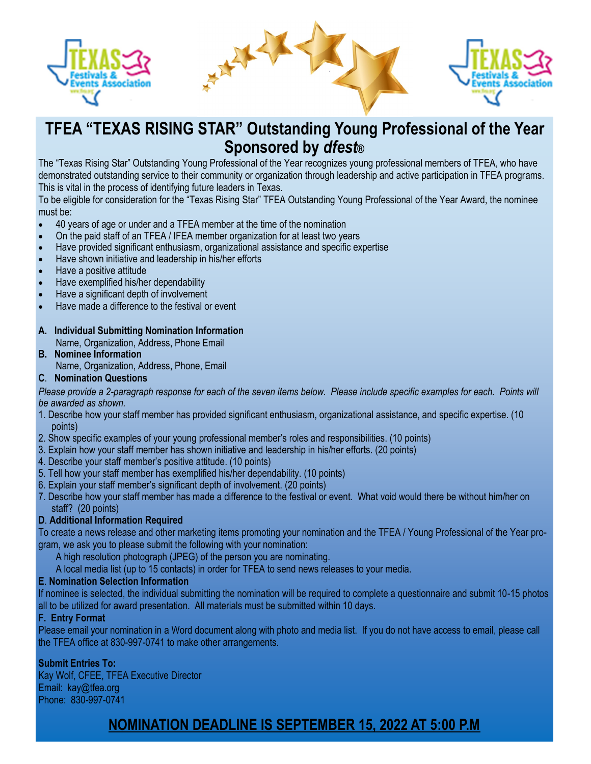

# **TFEA "TEXAS RISING STAR" Outstanding Young Professional of the Year Sponsored by** *dfest®*

The "Texas Rising Star" Outstanding Young Professional of the Year recognizes young professional members of TFEA, who have demonstrated outstanding service to their community or organization through leadership and active participation in TFEA programs. This is vital in the process of identifying future leaders in Texas.

To be eligible for consideration for the "Texas Rising Star" TFEA Outstanding Young Professional of the Year Award, the nominee must be:

- 40 years of age or under and a TFEA member at the time of the nomination
- On the paid staff of an TFEA / IFEA member organization for at least two years
- Have provided significant enthusiasm, organizational assistance and specific expertise
- Have shown initiative and leadership in his/her efforts
- Have a positive attitude
- Have exemplified his/her dependability
- Have a significant depth of involvement
- Have made a difference to the festival or event

### **A. Individual Submitting Nomination Information**

Name, Organization, Address, Phone Email

**B. Nominee Information** Name, Organization, Address, Phone, Email

#### **C**. **Nomination Questions**

*Please provide a 2-paragraph response for each of the seven items below. Please include specific examples for each. Points will be awarded as shown.*

- 1. Describe how your staff member has provided significant enthusiasm, organizational assistance, and specific expertise. (10 points)
- 2. Show specific examples of your young professional member's roles and responsibilities. (10 points)
- 3. Explain how your staff member has shown initiative and leadership in his/her efforts. (20 points)
- 4. Describe your staff member's positive attitude. (10 points)
- 5. Tell how your staff member has exemplified his/her dependability. (10 points)
- 6. Explain your staff member's significant depth of involvement. (20 points)
- 7. Describe how your staff member has made a difference to the festival or event. What void would there be without him/her on staff? (20 points)

#### **D**. **Additional Information Required**

To create a news release and other marketing items promoting your nomination and the TFEA / Young Professional of the Year program, we ask you to please submit the following with your nomination:

A high resolution photograph (JPEG) of the person you are nominating.

A local media list (up to 15 contacts) in order for TFEA to send news releases to your media.

#### **E**. **Nomination Selection Information**

If nominee is selected, the individual submitting the nomination will be required to complete a questionnaire and submit 10-15 photos all to be utilized for award presentation. All materials must be submitted within 10 days.

#### **F. Entry Format**

Please email your nomination in a Word document along with photo and media list. If you do not have access to email, please call the TFEA office at 830-997-0741 to make other arrangements.

#### **Submit Entries To:**

Kay Wolf, CFEE, TFEA Executive Director Email: kay@tfea.org Phone: 830-997-0741

## **NOMINATION DEADLINE IS SEPTEMBER 15, 2022 AT 5:00 P.M**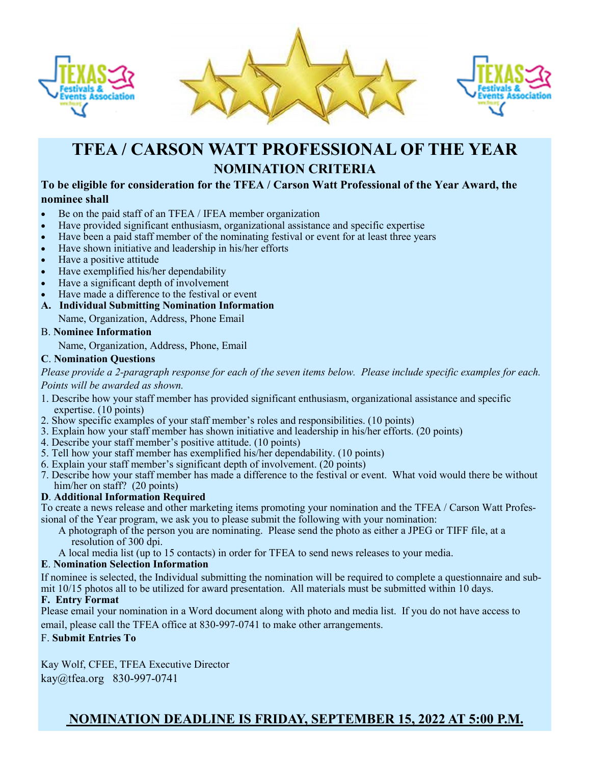





# **TFEA / CARSON WATT PROFESSIONAL OF THE YEAR NOMINATION CRITERIA**

#### **To be eligible for consideration for the TFEA / Carson Watt Professional of the Year Award, the nominee shall**

- Be on the paid staff of an TFEA / IFEA member organization
- Have provided significant enthusiasm, organizational assistance and specific expertise
- Have been a paid staff member of the nominating festival or event for at least three years
- Have shown initiative and leadership in his/her efforts
- Have a positive attitude
- Have exemplified his/her dependability
- Have a significant depth of involvement
- Have made a difference to the festival or event
- **A. Individual Submitting Nomination Information**
- Name, Organization, Address, Phone Email

#### B. **Nominee Information**

Name, Organization, Address, Phone, Email

#### **C**. **Nomination Questions**

*Please provide a 2-paragraph response for each of the seven items below. Please include specific examples for each. Points will be awarded as shown.*

- 1. Describe how your staff member has provided significant enthusiasm, organizational assistance and specific expertise. (10 points)
- 2. Show specific examples of your staff member's roles and responsibilities. (10 points)
- 3. Explain how your staff member has shown initiative and leadership in his/her efforts. (20 points)
- 4. Describe your staff member's positive attitude. (10 points)
- 5. Tell how your staff member has exemplified his/her dependability. (10 points)
- 6. Explain your staff member's significant depth of involvement. (20 points)
- 7. Describe how your staff member has made a difference to the festival or event. What void would there be without him/her on staff? (20 points)

#### **D**. **Additional Information Required**

To create a news release and other marketing items promoting your nomination and the TFEA / Carson Watt Professional of the Year program, we ask you to please submit the following with your nomination:

- A photograph of the person you are nominating. Please send the photo as either a JPEG or TIFF file, at a resolution of 300 dpi.
- A local media list (up to 15 contacts) in order for TFEA to send news releases to your media.

#### **E**. **Nomination Selection Information**

If nominee is selected, the Individual submitting the nomination will be required to complete a questionnaire and submit 10/15 photos all to be utilized for award presentation. All materials must be submitted within 10 days.

#### **F. Entry Format**

Please email your nomination in a Word document along with photo and media list. If you do not have access to email, please call the TFEA office at 830-997-0741 to make other arrangements.

#### F. **Submit Entries To**

Kay Wolf, CFEE, TFEA Executive Director kay@tfea.org 830-997-0741

## **NOMINATION DEADLINE IS FRIDAY, SEPTEMBER 15, 2022 AT 5:00 P.M.**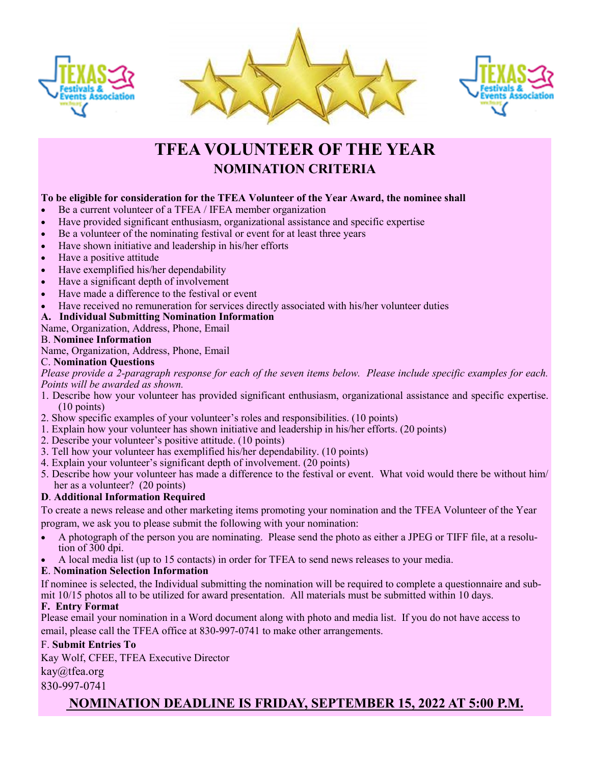





# **TFEA VOLUNTEER OF THE YEAR NOMINATION CRITERIA**

#### **To be eligible for consideration for the TFEA Volunteer of the Year Award, the nominee shall**

- Be a current volunteer of a TFEA / IFEA member organization
- Have provided significant enthusiasm, organizational assistance and specific expertise
- Be a volunteer of the nominating festival or event for at least three years
- Have shown initiative and leadership in his/her efforts
- Have a positive attitude
- Have exemplified his/her dependability
- Have a significant depth of involvement
- Have made a difference to the festival or event
- Have received no remuneration for services directly associated with his/her volunteer duties

#### **A. Individual Submitting Nomination Information**

Name, Organization, Address, Phone, Email

#### B. **Nominee Information**

Name, Organization, Address, Phone, Email

#### C. **Nomination Questions**

*Please provide a 2-paragraph response for each of the seven items below. Please include specific examples for each. Points will be awarded as shown.*

- 1. Describe how your volunteer has provided significant enthusiasm, organizational assistance and specific expertise. (10 points)
- 2. Show specific examples of your volunteer's roles and responsibilities. (10 points)
- 1. Explain how your volunteer has shown initiative and leadership in his/her efforts. (20 points)
- 2. Describe your volunteer's positive attitude. (10 points)
- 3. Tell how your volunteer has exemplified his/her dependability. (10 points)
- 4. Explain your volunteer's significant depth of involvement. (20 points)
- 5. Describe how your volunteer has made a difference to the festival or event. What void would there be without him/ her as a volunteer? (20 points)

#### **D**. **Additional Information Required**

To create a news release and other marketing items promoting your nomination and the TFEA Volunteer of the Year program, we ask you to please submit the following with your nomination:

- A photograph of the person you are nominating. Please send the photo as either a JPEG or TIFF file, at a resolution of 300 dpi.
- A local media list (up to 15 contacts) in order for TFEA to send news releases to your media.

#### **E**. **Nomination Selection Information**

If nominee is selected, the Individual submitting the nomination will be required to complete a questionnaire and submit 10/15 photos all to be utilized for award presentation. All materials must be submitted within 10 days.

#### **F. Entry Format**

Please email your nomination in a Word document along with photo and media list. If you do not have access to email, please call the TFEA office at 830-997-0741 to make other arrangements.

#### F. **Submit Entries To**

Kay Wolf, CFEE, TFEA Executive Director

#### kay@tfea.org

830-997-0741

## **NOMINATION DEADLINE IS FRIDAY, SEPTEMBER 15, 2022 AT 5:00 P.M.**